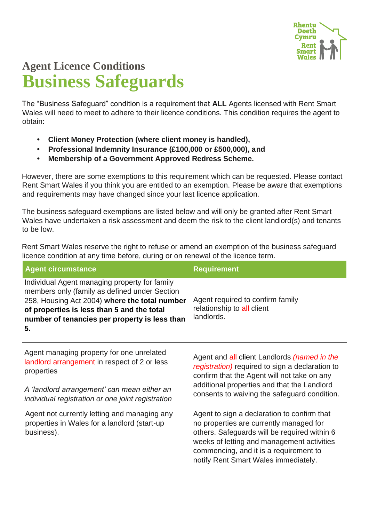

## **Agent Licence Conditions Business Safeguards**

The "Business Safeguard" condition is a requirement that **ALL** Agents licensed with Rent Smart Wales will need to meet to adhere to their licence conditions. This condition requires the agent to obtain:

- **• Client Money Protection (where client money is handled),**
- **• Professional Indemnity Insurance (£100,000 or £500,000), and**
- **• Membership of a Government Approved Redress Scheme.**

However, there are some exemptions to this requirement which can be requested. Please contact Rent Smart Wales if you think you are entitled to an exemption. Please be aware that exemptions and requirements may have changed since your last licence application.

The business safeguard exemptions are listed below and will only be granted after Rent Smart Wales have undertaken a risk assessment and deem the risk to the client landlord(s) and tenants to be low.

Rent Smart Wales reserve the right to refuse or amend an exemption of the business safeguard licence condition at any time before, during or on renewal of the licence term.

| <b>Agent circumstance</b>                                                                                                                                                                                                                            | <b>Requirement</b>                                                                                                                                                                                                                                                     |
|------------------------------------------------------------------------------------------------------------------------------------------------------------------------------------------------------------------------------------------------------|------------------------------------------------------------------------------------------------------------------------------------------------------------------------------------------------------------------------------------------------------------------------|
| Individual Agent managing property for family<br>members only (family as defined under Section<br>258, Housing Act 2004) where the total number<br>of properties is less than 5 and the total<br>number of tenancies per property is less than<br>5. | Agent required to confirm family<br>relationship to all client<br>landlords.                                                                                                                                                                                           |
| Agent managing property for one unrelated<br>landlord arrangement in respect of 2 or less<br>properties                                                                                                                                              | Agent and all client Landlords (named in the<br>registration) required to sign a declaration to<br>confirm that the Agent will not take on any<br>additional properties and that the Landlord<br>consents to waiving the safeguard condition.                          |
| A 'landlord arrangement' can mean either an<br>individual registration or one joint registration                                                                                                                                                     |                                                                                                                                                                                                                                                                        |
| Agent not currently letting and managing any<br>properties in Wales for a landlord (start-up<br>business).                                                                                                                                           | Agent to sign a declaration to confirm that<br>no properties are currently managed for<br>others. Safeguards will be required within 6<br>weeks of letting and management activities<br>commencing, and it is a requirement to<br>notify Rent Smart Wales immediately. |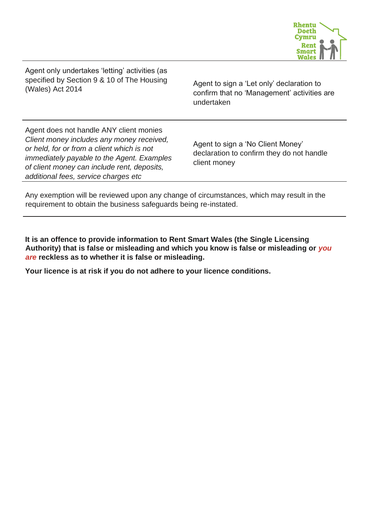

Agent only undertakes 'letting' activities (as specified by Section 9 & 10 of The Housing (Wales) Act 2014

Agent to sign a 'Let only' declaration to confirm that no 'Management' activities are undertaken

Agent does not handle ANY client monies *Client money includes any money received, or held, for or from a client which is not immediately payable to the Agent. Examples of client money can include rent, deposits, additional fees, service charges etc* 

Agent to sign a 'No Client Money' declaration to confirm they do not handle client money

Any exemption will be reviewed upon any change of circumstances, which may result in the requirement to obtain the business safeguards being re-instated.

**It is an offence to provide information to Rent Smart Wales (the Single Licensing Authority) that is false or misleading and which you know is false or misleading or** *you are* **reckless as to whether it is false or misleading.**

**Your licence is at risk if you do not adhere to your licence conditions.**